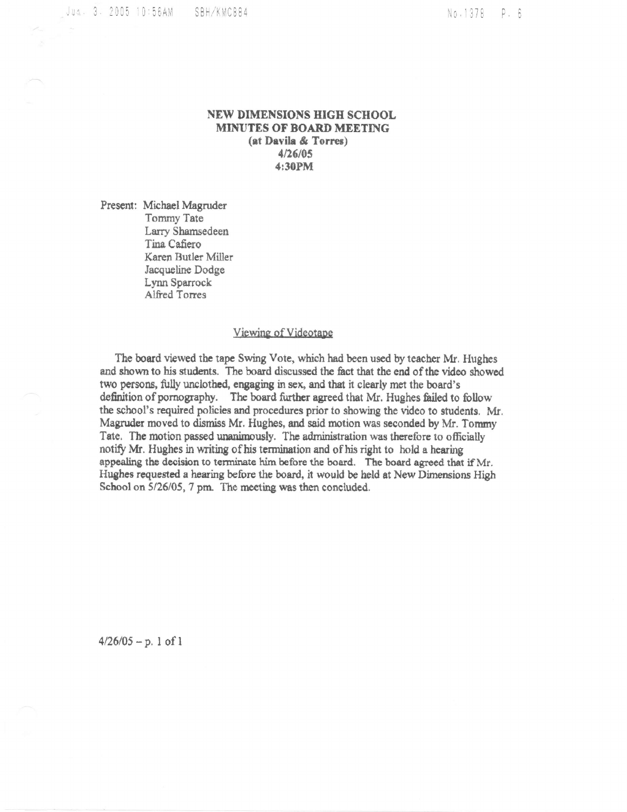Jus. 3. 2005 10:56AM SBH/KMC884

No.1378 P. 6

## NEW DIMENSIONS HIGH SCHOOL MINUTES OF BOARD MEETING (at Davila & Torres) 4/26/05 4:30PM

Present: Michael Magruder Tommy Tate Larry Shamsedeen Tina Cafiero Karen Butler Miller Jacqueline Dodge Lynn Sparrock Alfred Torres

## Viewing of Videotape

The board viewed the tape Swing Vote, which had been used by teacher Mr. Hughes and shown to his students. The board discussed the fact that the end of the video showed two persons, fully unclothed, engaging in sex, and that it clearly met the board's definition of pornography. The board further agreed that Mr. Hughes failed to follow the school's required policies and procedures prior to showing the video to students. Mr. Magruder moved to dismiss Mr. Hughes, and said motion was seconded by Mr. Tommy Tate. The motion passed unanimously. The administration was therefore to officially notify Mr. Hughes in writing of his termination and of his right to hold a hearing appealing the decision to terminate him before the board. The board agreed that if Mr. Hughes requested a hearing before the board, it would be held at New Dimensions High School on 5/26/05, 7 pm. The meeting was then concluded.

 $4/26/05 - p. 1 of 1$